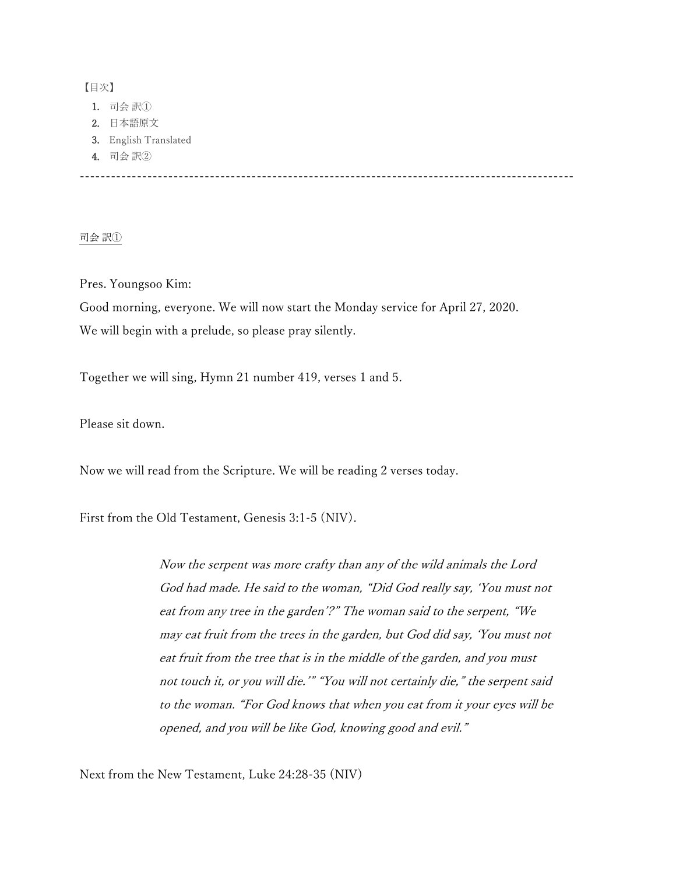## 【目次】

- 1. 司会 訳①
- 2. 日本語原文
- 3. English Translated
- 4. 司会 訳②

-----------------------------------------------------------------------------------------------

## 司会 訳①

# Pres. Youngsoo Kim:

Good morning, everyone. We will now start the Monday service for April 27, 2020. We will begin with a prelude, so please pray silently.

Together we will sing, Hymn 21 number 419, verses 1 and 5.

Please sit down.

Now we will read from the Scripture. We will be reading 2 verses today.

First from the Old Testament, Genesis 3:1-5 (NIV).

Now the serpent was more crafty than any of the wild animals the Lord God had made. He said to the woman, "Did God really say, 'You must not eat from any tree in the garden'?" The woman said to the serpent, "We may eat fruit from the trees in the garden, but God did say, 'You must not eat fruit from the tree that is in the middle of the garden, and you must not touch it, or you will die.'" "You will not certainly die," the serpent said to the woman. "For God knows that when you eat from it your eyes will be opened, and you will be like God, knowing good and evil."

Next from the New Testament, Luke 24:28-35 (NIV)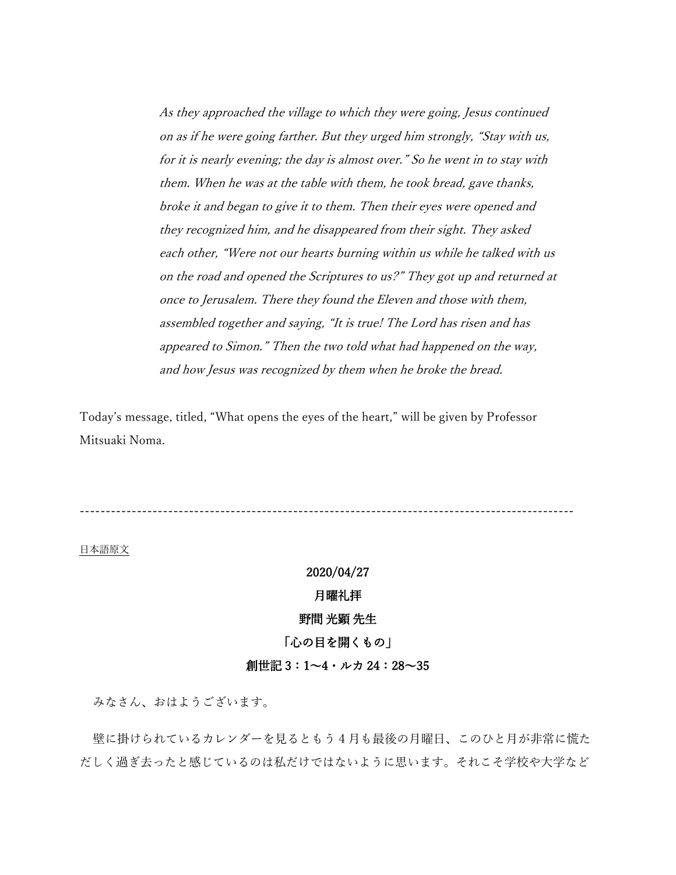As they approached the village to which they were going, Jesus continued on as if he were going farther. But they urged him strongly, "Stay with us, for it is nearly evening; the day is almost over." So he went in to stay with them. When he was at the table with them, he took bread, gave thanks, broke it and began to give it to them. Then their eyes were opened and they recognized him, and he disappeared from their sight. They asked each other, "Were not our hearts burning within us while he talked with us on the road and opened the Scriptures to us?" They got up and returned at once to Jerusalem. There they found the Eleven and those with them, assembled together and saying, "It is true! The Lord has risen and has appeared to Simon." Then the two told what had happened on the way, and how Jesus was recognized by them when he broke the bread.

Today's message, titled, "What opens the eyes of the heart," will be given by Professor Mitsuaki Noma.

-----------------------------------------------------------------------------------------------

日本語原文

## 2020/04/27

### 月曜礼拝

#### 野間 光顕 先生

## 「心の目を開くもの」

### 創世記 3:1~4・ルカ 24:28~35

みなさん、おはようございます。

壁に掛けられているカレンダーを見るともう 4 月も最後の月曜日、このひと月が非常に慌た だしく過ぎ去ったと感じているのは私だけではないように思います。それこそ学校や大学など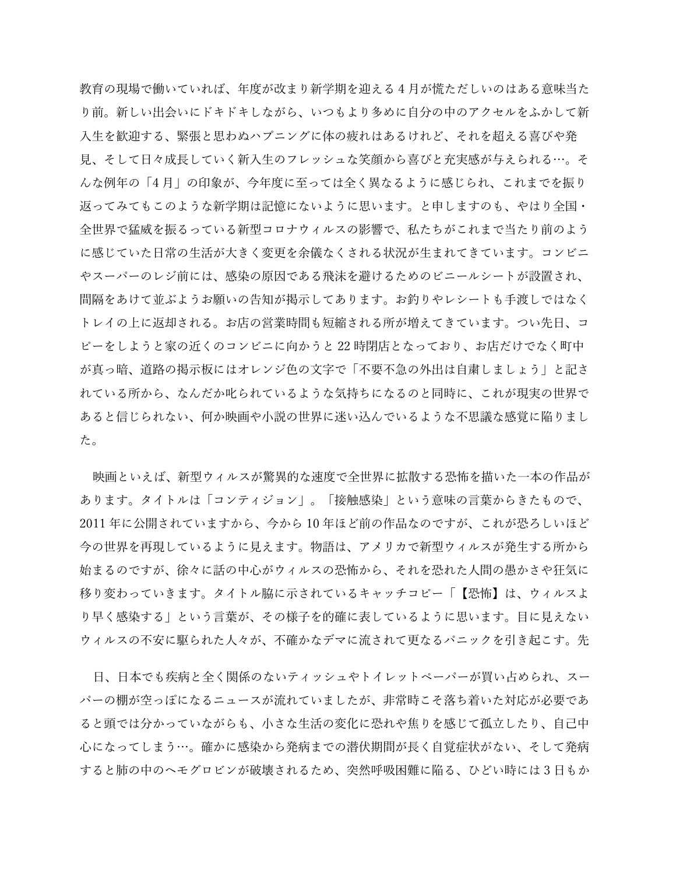教育の現場で働いていれば、年度が改まり新学期を迎える 4 月が慌ただしいのはある意味当た り前。新しい出会いにドキドキしながら、いつもより多めに自分の中のアクセルをふかして新 入生を歓迎する、緊張と思わぬハプニングに体の疲れはあるけれど、それを超える喜びや発 見、そして日々成長していく新入生のフレッシュな笑顔から喜びと充実感が与えられる…。そ んな例年の「4 月」の印象が、今年度に至っては全く異なるように感じられ、これまでを振り 返ってみてもこのような新学期は記憶にないように思います。と申しますのも、やはり全国・ 全世界で猛威を振るっている新型コロナウィルスの影響で、私たちがこれまで当たり前のよう に感じていた日常の生活が大きく変更を余儀なくされる状況が生まれてきています。コンビニ やスーパーのレジ前には、感染の原因である飛沫を避けるためのビニールシートが設置され、 間隔をあけて並ぶようお願いの告知が掲示してあります。お釣りやレシートも手渡しではなく トレイの上に返却される。お店の営業時間も短縮される所が増えてきています。つい先日、コ ピーをしようと家の近くのコンビニに向かうと 22 時閉店となっており、お店だけでなく町中 が真っ暗、道路の掲示板にはオレンジ色の文字で「不要不急の外出は自粛しましょう」と記さ れている所から、なんだか叱られているような気持ちになるのと同時に、これが現実の世界で あると信じられない、何か映画や小説の世界に迷い込んでいるような不思議な感覚に陥りまし た。

映画といえば、新型ウィルスが驚異的な速度で全世界に拡散する恐怖を描いた一本の作品が あります。タイトルは「コンティジョン」。「接触感染」という意味の言葉からきたもので、 2011 年に公開されていますから、今から 10 年ほど前の作品なのですが、これが恐ろしいほど 今の世界を再現しているように見えます。物語は、アメリカで新型ウィルスが発生する所から 始まるのですが、徐々に話の中心がウィルスの恐怖から、それを恐れた人間の愚かさや狂気に 移り変わっていきます。タイトル脇に示されているキャッチコピー「【恐怖】は、ウィルスよ り早く感染する」という言葉が、その様子を的確に表しているように思います。目に見えない ウィルスの不安に駆られた人々が、不確かなデマに流されて更なるパニックを引き起こす。先

日、日本でも疾病と全く関係のないティッシュやトイレットペーパーが買い占められ、スー パーの棚が空っぽになるニュースが流れていましたが、非常時こそ落ち着いた対応が必要であ ると頭では分かっていながらも、小さな生活の変化に恐れや焦りを感じて孤立したり、自己中 心になってしまう…。確かに感染から発病までの潜伏期間が長く自覚症状がない、そして発病 すると肺の中のヘモグロビンが破壊されるため、突然呼吸困難に陥る、ひどい時には 3 日もか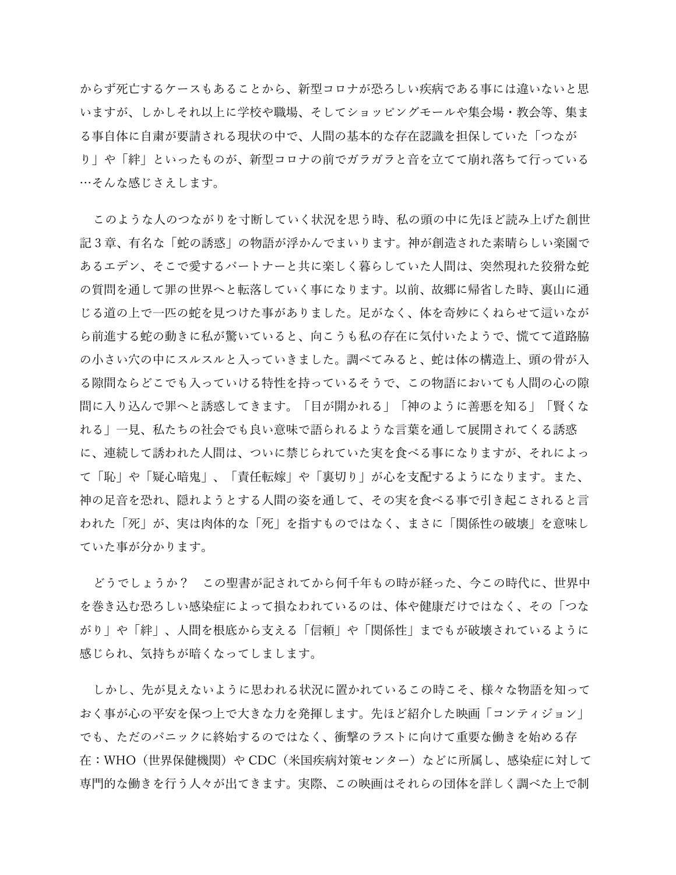からず死亡するケースもあることから、新型コロナが恐ろしい疾病である事には違いないと思 いますが、しかしそれ以上に学校や職場、そしてショッピングモールや集会場・教会等、集ま る事自体に自粛が要請される現状の中で、人間の基本的な存在認識を担保していた「つなが り」や「絆」といったものが、新型コロナの前でガラガラと音を立てて崩れ落ちて行っている …そんな感じさえします。

このような人のつながりを寸断していく状況を思う時、私の頭の中に先ほど読み上げた創世 記 3 章、有名な「蛇の誘惑」の物語が浮かんでまいります。神が創造された素晴らしい楽園で あるエデン、そこで愛するパートナーと共に楽しく暮らしていた人間は、突然現れた狡猾な蛇 の質問を通して罪の世界へと転落していく事になります。以前、故郷に帰省した時、裏山に通 じる道の上で一匹の蛇を見つけた事がありました。足がなく、体を奇妙にくねらせて這いなが ら前進する蛇の動きに私が驚いていると、向こうも私の存在に気付いたようで、慌てて道路脇 の小さい穴の中にスルスルと入っていきました。調べてみると、蛇は体の構造上、頭の骨が入 る隙間ならどこでも入っていける特性を持っているそうで、この物語においても人間の心の隙 間に入り込んで罪へと誘惑してきます。「目が開かれる」「神のように善悪を知る」「賢くな れる」一見、私たちの社会でも良い意味で語られるような言葉を通して展開されてくる誘惑 に、連続して誘われた人間は、ついに禁じられていた実を食べる事になりますが、それによっ て「恥」や「疑心暗鬼」、「責任転嫁」や「裏切り」が心を支配するようになります。また、 神の足音を恐れ、隠れようとする人間の姿を通して、その実を食べる事で引き起こされると言 われた「死」が、実は肉体的な「死」を指すものではなく、まさに「関係性の破壊」を意味し ていた事が分かります。

どうでしょうか? この聖書が記されてから何千年もの時が経った、今この時代に、世界中 を巻き込む恐ろしい感染症によって損なわれているのは、体や健康だけではなく、その「つな がり」や「絆」、人間を根底から支える「信頼」や「関係性」までもが破壊されているように 感じられ、気持ちが暗くなってしまします。

しかし、先が見えないように思われる状況に置かれているこの時こそ、様々な物語を知って おく事が心の平安を保つ上で大きな力を発揮します。先ほど紹介した映画「コンティジョン」 でも、ただのパニックに終始するのではなく、衝撃のラストに向けて重要な働きを始める存 在:WHO(世界保健機関)や CDC(米国疾病対策センター)などに所属し、感染症に対して 専門的な働きを行う人々が出てきます。実際、この映画はそれらの団体を詳しく調べた上で制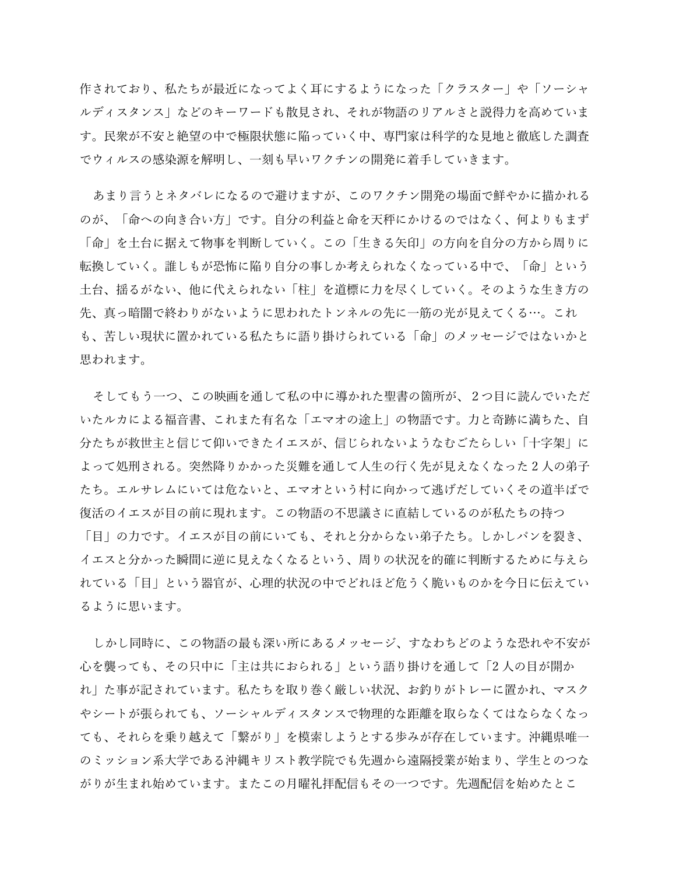作されており、私たちが最近になってよく耳にするようになった「クラスター」や「ソーシャ ルディスタンス」などのキーワードも散見され、それが物語のリアルさと説得力を高めていま す。民衆が不安と絶望の中で極限状態に陥っていく中、専門家は科学的な見地と徹底した調査 でウィルスの感染源を解明し、一刻も早いワクチンの開発に着手していきます。

あまり言うとネタバレになるので避けますが、このワクチン開発の場面で鮮やかに描かれる のが、「命への向き合い方」です。自分の利益と命を天秤にかけるのではなく、何よりもまず 「命」を土台に据えて物事を判断していく。この「生きる矢印」の方向を自分の方から周りに 転換していく。誰しもが恐怖に陥り自分の事しか考えられなくなっている中で、「命」という 土台、揺るがない、他に代えられない「柱」を道標に力を尽くしていく。そのような生き方の 先、真っ暗闇で終わりがないように思われたトンネルの先に一筋の光が見えてくる…。これ も、苦しい現状に置かれている私たちに語り掛けられている「命」のメッセージではないかと 思われます。

そしてもう一つ、この映画を通して私の中に導かれた聖書の箇所が、2つ目に読んでいただ いたルカによる福音書、これまた有名な「エマオの途上」の物語です。力と奇跡に満ちた、自 分たちが救世主と信じて仰いできたイエスが、信じられないようなむごたらしい「十字架」に よって処刑される。突然降りかかった災難を通して人生の行く先が見えなくなった 2 人の弟子 たち。エルサレムにいては危ないと、エマオという村に向かって逃げだしていくその道半ばで 復活のイエスが目の前に現れます。この物語の不思議さに直結しているのが私たちの持つ

「目」の力です。イエスが目の前にいても、それと分からない弟子たち。しかしパンを裂き、 イエスと分かった瞬間に逆に見えなくなるという、周りの状況を的確に判断するために与えら れている「目」という器官が、心理的状況の中でどれほど危うく脆いものかを今日に伝えてい るように思います。

しかし同時に、この物語の最も深い所にあるメッセージ、すなわちどのような恐れや不安が 心を襲っても、その只中に「主は共におられる」という語り掛けを通して「2 人の目が開か れ」た事が記されています。私たちを取り巻く厳しい状況、お釣りがトレーに置かれ、マスク やシートが張られても、ソーシャルディスタンスで物理的な距離を取らなくてはならなくなっ ても、それらを乗り越えて「繋がり」を模索しようとする歩みが存在しています。沖縄県唯一 のミッション系大学である沖縄キリスト教学院でも先週から遠隔授業が始まり、学生とのつな がりが生まれ始めています。またこの月曜礼拝配信もその一つです。先週配信を始めたとこ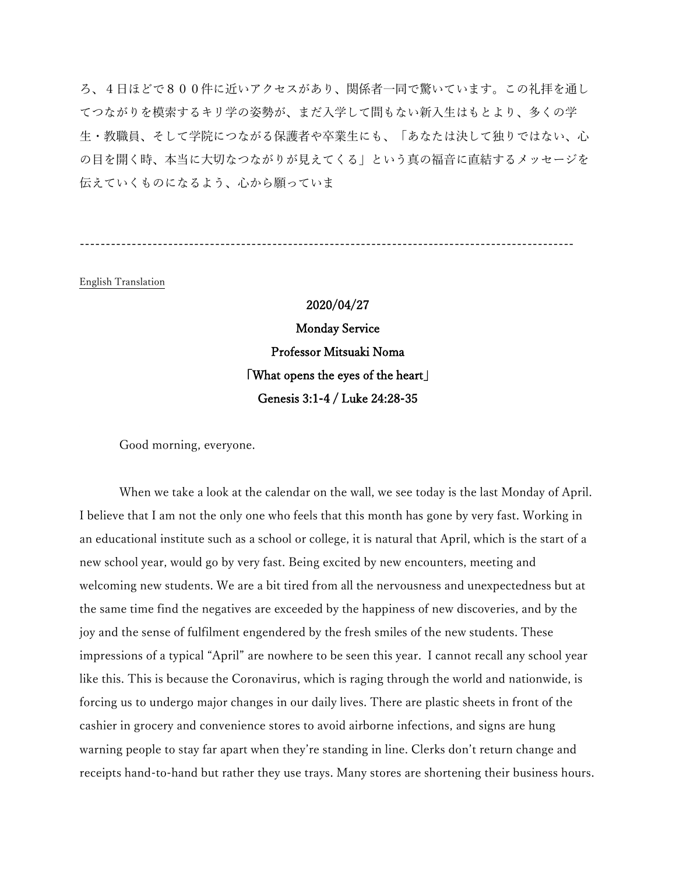ろ、4日ほどで800件に近いアクセスがあり、関係者一同で驚いています。この礼拝を通し てつながりを模索するキリ学の姿勢が、まだ入学して間もない新入生はもとより、多くの学 生・教職員、そして学院につながる保護者や卒業生にも、「あなたは決して独りではない、心 の目を開く時、本当に大切なつながりが見えてくる」という真の福音に直結するメッセージを 伝えていくものになるよう、心から願っていま

-----------------------------------------------------------------------------------------------

English Translation

# 2020/04/27

Monday Service Professor Mitsuaki Noma 「What opens the eyes of the heart」 Genesis 3:1-4 / Luke 24:28-35

Good morning, everyone.

When we take a look at the calendar on the wall, we see today is the last Monday of April. I believe that I am not the only one who feels that this month has gone by very fast. Working in an educational institute such as a school or college, it is natural that April, which is the start of a new school year, would go by very fast. Being excited by new encounters, meeting and welcoming new students. We are a bit tired from all the nervousness and unexpectedness but at the same time find the negatives are exceeded by the happiness of new discoveries, and by the joy and the sense of fulfilment engendered by the fresh smiles of the new students. These impressions of a typical "April" are nowhere to be seen this year. I cannot recall any school year like this. This is because the Coronavirus, which is raging through the world and nationwide, is forcing us to undergo major changes in our daily lives. There are plastic sheets in front of the cashier in grocery and convenience stores to avoid airborne infections, and signs are hung warning people to stay far apart when they're standing in line. Clerks don't return change and receipts hand-to-hand but rather they use trays. Many stores are shortening their business hours.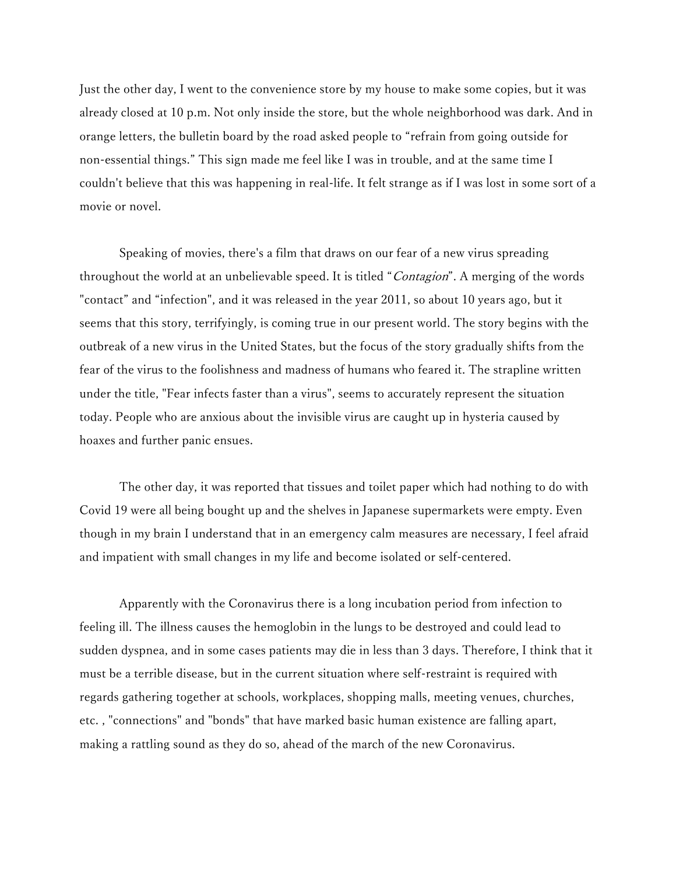Just the other day, I went to the convenience store by my house to make some copies, but it was already closed at 10 p.m. Not only inside the store, but the whole neighborhood was dark. And in orange letters, the bulletin board by the road asked people to "refrain from going outside for non-essential things." This sign made me feel like I was in trouble, and at the same time I couldn't believe that this was happening in real-life. It felt strange as if I was lost in some sort of a movie or novel.

Speaking of movies, there's a film that draws on our fear of a new virus spreading throughout the world at an unbelievable speed. It is titled "Contagion". A merging of the words "contact" and "infection", and it was released in the year 2011, so about 10 years ago, but it seems that this story, terrifyingly, is coming true in our present world. The story begins with the outbreak of a new virus in the United States, but the focus of the story gradually shifts from the fear of the virus to the foolishness and madness of humans who feared it. The strapline written under the title, "Fear infects faster than a virus", seems to accurately represent the situation today. People who are anxious about the invisible virus are caught up in hysteria caused by hoaxes and further panic ensues.

The other day, it was reported that tissues and toilet paper which had nothing to do with Covid 19 were all being bought up and the shelves in Japanese supermarkets were empty. Even though in my brain I understand that in an emergency calm measures are necessary, I feel afraid and impatient with small changes in my life and become isolated or self-centered.

Apparently with the Coronavirus there is a long incubation period from infection to feeling ill. The illness causes the hemoglobin in the lungs to be destroyed and could lead to sudden dyspnea, and in some cases patients may die in less than 3 days. Therefore, I think that it must be a terrible disease, but in the current situation where self-restraint is required with regards gathering together at schools, workplaces, shopping malls, meeting venues, churches, etc. , "connections" and "bonds" that have marked basic human existence are falling apart, making a rattling sound as they do so, ahead of the march of the new Coronavirus.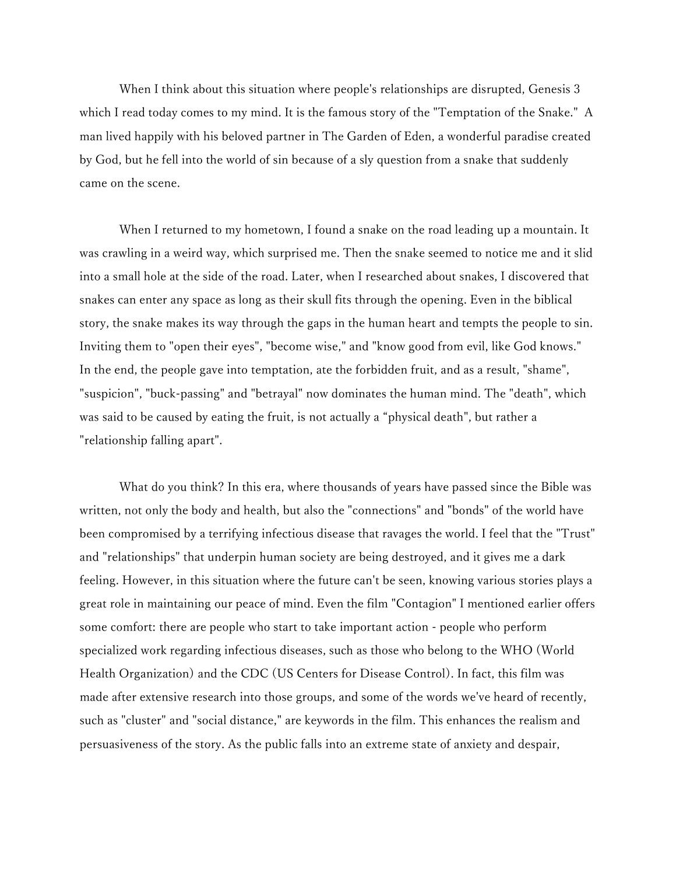When I think about this situation where people's relationships are disrupted, Genesis 3 which I read today comes to my mind. It is the famous story of the "Temptation of the Snake." A man lived happily with his beloved partner in The Garden of Eden, a wonderful paradise created by God, but he fell into the world of sin because of a sly question from a snake that suddenly came on the scene.

When I returned to my hometown, I found a snake on the road leading up a mountain. It was crawling in a weird way, which surprised me. Then the snake seemed to notice me and it slid into a small hole at the side of the road. Later, when I researched about snakes, I discovered that snakes can enter any space as long as their skull fits through the opening. Even in the biblical story, the snake makes its way through the gaps in the human heart and tempts the people to sin. Inviting them to "open their eyes", "become wise," and "know good from evil, like God knows." In the end, the people gave into temptation, ate the forbidden fruit, and as a result, "shame", "suspicion", "buck-passing" and "betrayal" now dominates the human mind. The "death", which was said to be caused by eating the fruit, is not actually a "physical death", but rather a "relationship falling apart".

What do you think? In this era, where thousands of years have passed since the Bible was written, not only the body and health, but also the "connections" and "bonds" of the world have been compromised by a terrifying infectious disease that ravages the world. I feel that the "Trust" and "relationships" that underpin human society are being destroyed, and it gives me a dark feeling. However, in this situation where the future can't be seen, knowing various stories plays a great role in maintaining our peace of mind. Even the film "Contagion" I mentioned earlier offers some comfort: there are people who start to take important action - people who perform specialized work regarding infectious diseases, such as those who belong to the WHO (World Health Organization) and the CDC (US Centers for Disease Control). In fact, this film was made after extensive research into those groups, and some of the words we've heard of recently, such as "cluster" and "social distance," are keywords in the film. This enhances the realism and persuasiveness of the story. As the public falls into an extreme state of anxiety and despair,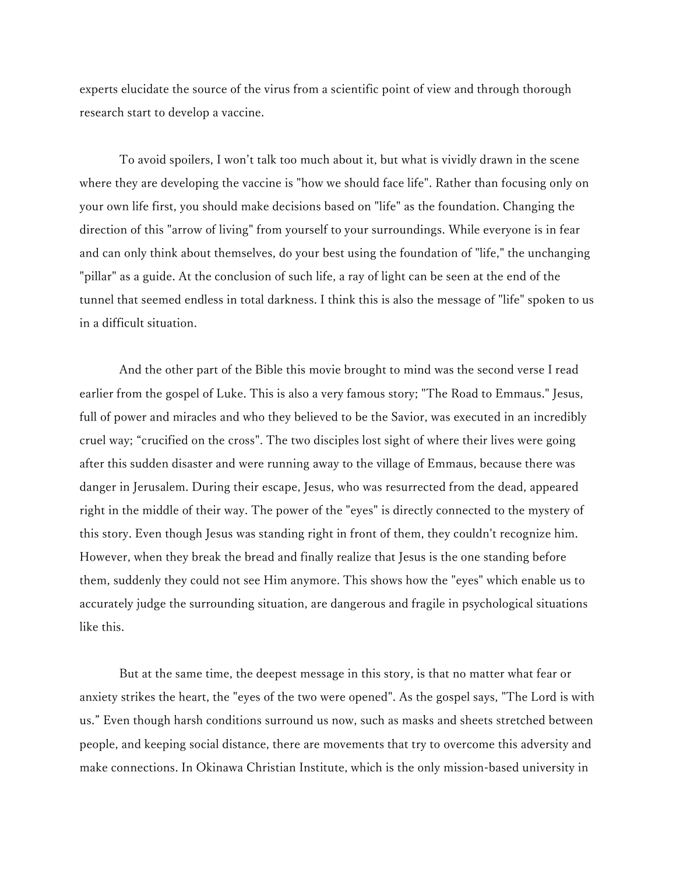experts elucidate the source of the virus from a scientific point of view and through thorough research start to develop a vaccine.

To avoid spoilers, I won't talk too much about it, but what is vividly drawn in the scene where they are developing the vaccine is "how we should face life". Rather than focusing only on your own life first, you should make decisions based on "life" as the foundation. Changing the direction of this "arrow of living" from yourself to your surroundings. While everyone is in fear and can only think about themselves, do your best using the foundation of "life," the unchanging "pillar" as a guide. At the conclusion of such life, a ray of light can be seen at the end of the tunnel that seemed endless in total darkness. I think this is also the message of "life" spoken to us in a difficult situation.

And the other part of the Bible this movie brought to mind was the second verse I read earlier from the gospel of Luke. This is also a very famous story; "The Road to Emmaus." Jesus, full of power and miracles and who they believed to be the Savior, was executed in an incredibly cruel way; "crucified on the cross". The two disciples lost sight of where their lives were going after this sudden disaster and were running away to the village of Emmaus, because there was danger in Jerusalem. During their escape, Jesus, who was resurrected from the dead, appeared right in the middle of their way. The power of the "eyes" is directly connected to the mystery of this story. Even though Jesus was standing right in front of them, they couldn't recognize him. However, when they break the bread and finally realize that Jesus is the one standing before them, suddenly they could not see Him anymore. This shows how the "eyes" which enable us to accurately judge the surrounding situation, are dangerous and fragile in psychological situations like this.

But at the same time, the deepest message in this story, is that no matter what fear or anxiety strikes the heart, the "eyes of the two were opened". As the gospel says, "The Lord is with us." Even though harsh conditions surround us now, such as masks and sheets stretched between people, and keeping social distance, there are movements that try to overcome this adversity and make connections. In Okinawa Christian Institute, which is the only mission-based university in